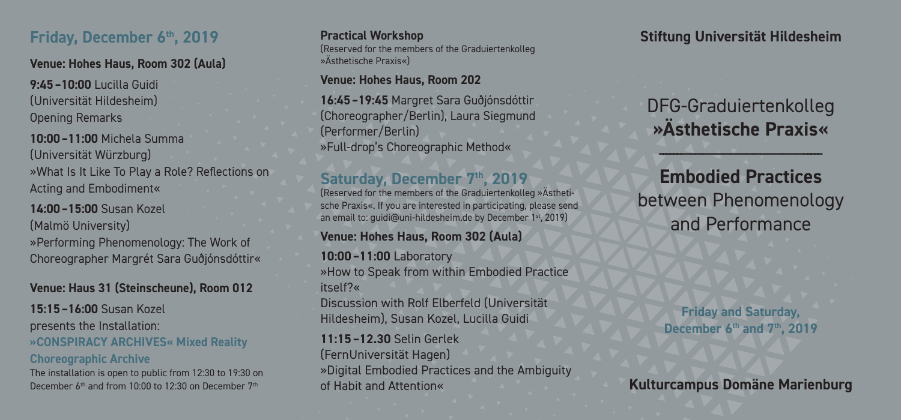### **Friday, December 6th, 2019**

**Venue: Hohes Haus, Room 302 (Aula)**

**9:45–10:00** Lucilla Guidi (Universität Hildesheim) Opening Remarks

**10:00–11:00** Michela Summa (Universität Würzburg) »What Is It Like To Play a Role? Reflections on Acting and Embodiment«

**14:00–15:00** Susan Kozel (Malmö University)

»Performing Phenomenology: The Work of Choreographer Margrét Sara Guðjónsdóttir«

### **Venue: Haus 31 (Steinscheune), Room 012**

**15:15–16:00** Susan Kozel presents the Installation: **»CONSPIRACY ARCHIVES« Mixed Reality Choreographic Archive**

The installation is open to public from 12:30 to 19:30 on December 6<sup>th</sup> and from 10:00 to 12:30 on December 7<sup>th</sup>

**Practical Workshop** (Reserved for the members of the Graduiertenkolleg »Ästhetische Praxis«)

**Venue: Hohes Haus, Room 202**

**16:45–19:45** Margret Sara Guðjónsdóttir (Choreographer/Berlin), Laura Siegmund (Performer/Berlin) »Full-drop's Choreographic Method«

## Saturday, December 7<sup>th</sup>, 2019

(Reserved for the members of the Graduiertenkolleg Ȁsthetische Praxis«. If you are interested in participating, please send an email to: quidi@uni-hildesheim.de by December 1<sup>st</sup>, 2019)

#### **Venue: Hohes Haus, Room 302 (Aula)**

**10:00–11:00** Laboratory »How to Speak from within Embodied Practice itself?« Discussion with Rolf Elberfeld (Universität Hildesheim), Susan Kozel, Lucilla Guidi

**11:15–12.30** Selin Gerlek (FernUniversität Hagen) »Digital Embodied Practices and the Ambiguity of Habit and Attention«

**Stiftung Universität Hildesheim**

DFG-Graduiertenkolleg **»Ästhetische Praxis«**

 $-$ - $-$ 

**Embodied Practices** between Phenomenology and Performance

#### **Friday and Saturday, December 6th and 7th, 2019**

**Kulturcampus Domäne Marienburg**